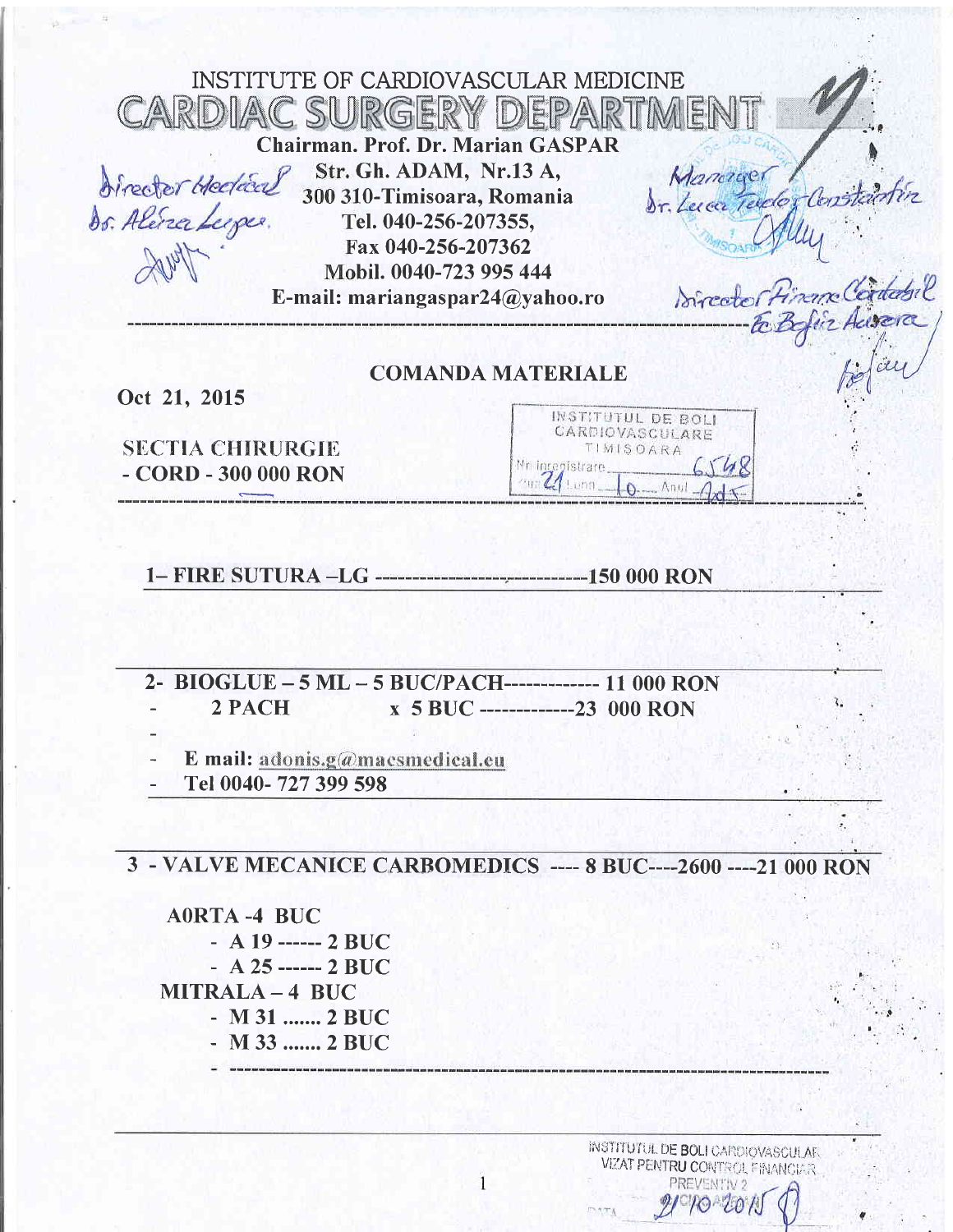| INSTITUTE OF CARDIOVASCULAR MEDICINE<br>CARDIAC SURGERY DEPARTMENT<br><b>Chairman. Prof. Dr. Marian GASPAR</b>                                                                                          |                                                                    |
|---------------------------------------------------------------------------------------------------------------------------------------------------------------------------------------------------------|--------------------------------------------------------------------|
| Str. Gh. ADAM, Nr.13 A,<br>director Hedded<br>300 310-Timisoara, Romania<br>ds. Alera Lupe.<br>Tel. 040-256-207355,<br>Fax 040-256-207362<br>Mobil. 0040-723 995 444<br>E-mail: mariangaspar24@yahoo.ro | Manager<br>br. Leven Telder Constantin<br>Director Financ Cordadel |

# COMANDA MATERIALE

Oct 21, 2015

**SECTIA CHIRURGIE** - coRD - 300 000 RoN

|                 |                    | INSTITUTUL DE BOLI |      |
|-----------------|--------------------|--------------------|------|
|                 |                    | CARDIOVASCULARE    |      |
|                 |                    | TIMISOARA          |      |
| Mr integistrare |                    |                    | 6548 |
|                 | $4$ Lunn $\Lambda$ |                    |      |
|                 |                    |                    |      |

Befau

1- FIRE SUTURA \_LG s0 000 RoN

2- BIOGLUE - 5 ML - 5 BUC/PACH------------- 11 000 RON<br>2 PACH x 5 BUC -------------23 000 RON x 5 BUC -------------23 000 RON

E mail: adonis.g@macsmedical.eu

Tel 0040- 727 399 598

3 . VALVE MECANICE CARBOMEDICS .--- 8 BUC.---2600 ----2I OOO RON

 $\overline{1}$ 

AORTA -4 BUC  $-$  A 19 ------ 2 BUC  $-$  A 25 ------ 2 BUC MITRALA - 4 BUC - M 31 .......2 BUC - M 33 .......2 BUC

*<u> August Chilean August Component Component Component Component Component Component Component Component Component Component Component Component Component Component Component Component Component Component Component</u>* 

institutul de BOLI CARDIOVASCULAR. VIZAT PENTRU CONTROL FINANCIAR  $PQ - QQ / R$